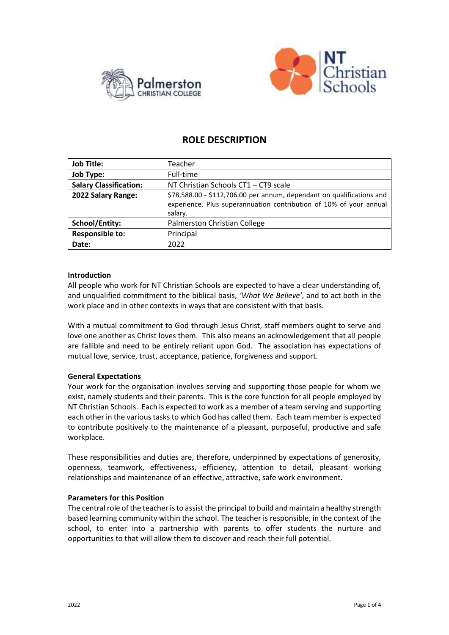



# **ROLE DESCRIPTION**

| <b>Job Title:</b>             | Teacher                                                                                                                                                |
|-------------------------------|--------------------------------------------------------------------------------------------------------------------------------------------------------|
| <b>Job Type:</b>              | Full-time                                                                                                                                              |
| <b>Salary Classification:</b> | NT Christian Schools CT1 - CT9 scale                                                                                                                   |
| 2022 Salary Range:            | \$78,588.00 - \$112,706.00 per annum, dependant on qualifications and<br>experience. Plus superannuation contribution of 10% of your annual<br>salary. |
| <b>School/Entity:</b>         | Palmerston Christian College                                                                                                                           |
| <b>Responsible to:</b>        | Principal                                                                                                                                              |
| Date:                         | 2022                                                                                                                                                   |

#### **Introduction**

All people who work for NT Christian Schools are expected to have a clear understanding of, and unqualified commitment to the biblical basis, *'What We Believe'*, and to act both in the work place and in other contexts in ways that are consistent with that basis.

With a mutual commitment to God through Jesus Christ, staff members ought to serve and love one another as Christ loves them. This also means an acknowledgement that all people are fallible and need to be entirely reliant upon God. The association has expectations of mutual love, service, trust, acceptance, patience, forgiveness and support.

# **General Expectations**

Your work for the organisation involves serving and supporting those people for whom we exist, namely students and their parents. This is the core function for all people employed by NT Christian Schools. Each is expected to work as a member of a team serving and supporting each other in the various tasks to which God has called them. Each team member is expected to contribute positively to the maintenance of a pleasant, purposeful, productive and safe workplace.

These responsibilities and duties are, therefore, underpinned by expectations of generosity, openness, teamwork, effectiveness, efficiency, attention to detail, pleasant working relationships and maintenance of an effective, attractive, safe work environment.

#### **Parameters for this Position**

The central role of the teacher is to assist the principal to build and maintain a healthy strength based learning community within the school. The teacher is responsible, in the context of the school, to enter into a partnership with parents to offer students the nurture and opportunities to that will allow them to discover and reach their full potential.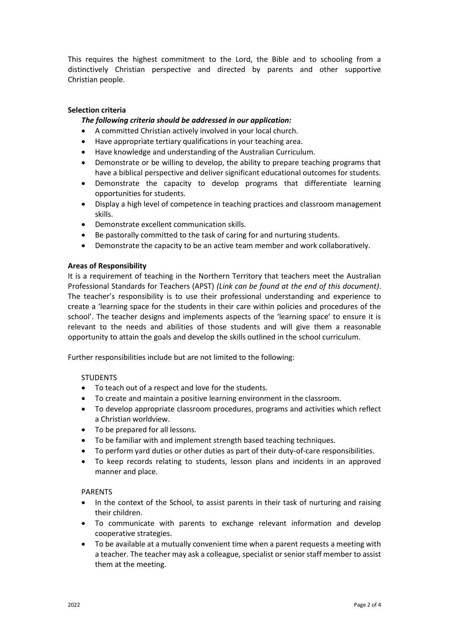This requires the highest commitment to the Lord, the Bible and to schooling from a distinctively Christian perspective and directed by parents and other supportive Christian people.

# **Selection criteria**

# *The following criteria should be addressed in our application:*

- A committed Christian actively involved in your local church.
- Have appropriate tertiary qualifications in your teaching area.
- Have knowledge and understanding of the Australian Curriculum.
- Demonstrate or be willing to develop, the ability to prepare teaching programs that have a biblical perspective and deliver significant educational outcomes for students.
- Demonstrate the capacity to develop programs that differentiate learning opportunities for students.
- Display a high level of competence in teaching practices and classroom management skills.
- Demonstrate excellent communication skills.
- Be pastorally committed to the task of caring for and nurturing students.
- Demonstrate the capacity to be an active team member and work collaboratively.

#### **Areas of Responsibility**

It is a requirement of teaching in the Northern Territory that teachers meet the Australian Professional Standards for Teachers (APST) *(Link can be found at the end of this document)*. The teacher's responsibility is to use their professional understanding and experience to create a 'learning space for the students in their care within policies and procedures of the school'. The teacher designs and implements aspects of the 'learning space' to ensure it is relevant to the needs and abilities of those students and will give them a reasonable opportunity to attain the goals and develop the skills outlined in the school curriculum.

Further responsibilities include but are not limited to the following:

# **STUDENTS**

- To teach out of a respect and love for the students.
- To create and maintain a positive learning environment in the classroom.
- To develop appropriate classroom procedures, programs and activities which reflect a Christian worldview.
- To be prepared for all lessons.
- To be familiar with and implement strength based teaching techniques.
- To perform yard duties or other duties as part of their duty-of-care responsibilities.
- To keep records relating to students, lesson plans and incidents in an approved manner and place.

# PARENTS

- In the context of the School, to assist parents in their task of nurturing and raising their children.
- To communicate with parents to exchange relevant information and develop cooperative strategies.
- To be available at a mutually convenient time when a parent requests a meeting with a teacher. The teacher may ask a colleague, specialist or senior staff member to assist them at the meeting.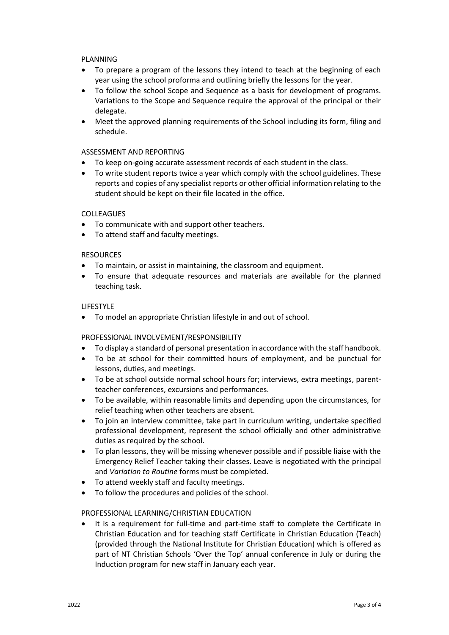# PLANNING

- To prepare a program of the lessons they intend to teach at the beginning of each year using the school proforma and outlining briefly the lessons for the year.
- To follow the school Scope and Sequence as a basis for development of programs. Variations to the Scope and Sequence require the approval of the principal or their delegate.
- Meet the approved planning requirements of the School including its form, filing and schedule.

#### ASSESSMENT AND REPORTING

- To keep on-going accurate assessment records of each student in the class.
- To write student reports twice a year which comply with the school guidelines. These reports and copies of any specialist reports or other official information relating to the student should be kept on their file located in the office.

#### COLLEAGUES

- To communicate with and support other teachers.
- To attend staff and faculty meetings.

#### RESOURCES

- To maintain, or assist in maintaining, the classroom and equipment.
- To ensure that adequate resources and materials are available for the planned teaching task.

#### LIFESTYLE

To model an appropriate Christian lifestyle in and out of school.

# PROFESSIONAL INVOLVEMENT/RESPONSIBILITY

- To display a standard of personal presentation in accordance with the staff handbook.
- To be at school for their committed hours of employment, and be punctual for lessons, duties, and meetings.
- To be at school outside normal school hours for; interviews, extra meetings, parentteacher conferences, excursions and performances.
- To be available, within reasonable limits and depending upon the circumstances, for relief teaching when other teachers are absent.
- To join an interview committee, take part in curriculum writing, undertake specified professional development, represent the school officially and other administrative duties as required by the school.
- To plan lessons, they will be missing whenever possible and if possible liaise with the Emergency Relief Teacher taking their classes. Leave is negotiated with the principal and *Variation to Routine* forms must be completed.
- To attend weekly staff and faculty meetings.
- To follow the procedures and policies of the school.

# PROFESSIONAL LEARNING/CHRISTIAN EDUCATION

 It is a requirement for full-time and part-time staff to complete the Certificate in Christian Education and for teaching staff Certificate in Christian Education (Teach) (provided through the National Institute for Christian Education) which is offered as part of NT Christian Schools 'Over the Top' annual conference in July or during the Induction program for new staff in January each year.